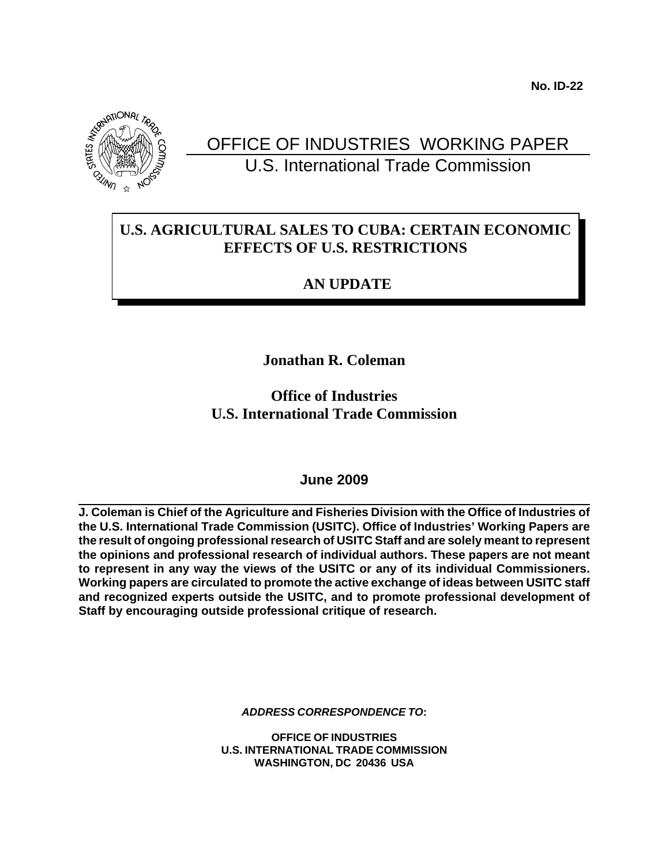**No. ID-22** 



# OFFICE OF INDUSTRIES WORKING PAPER U.S. International Trade Commission

### **U.S. AGRICULTURAL SALES TO CUBA: CERTAIN ECONOMIC EFFECTS OF U.S. RESTRICTIONS**

### **AN UPDATE**

### **Jonathan R. Coleman**

**Office of Industries U.S. International Trade Commission**

### **June 2009**

**J. Coleman is Chief of the Agriculture and Fisheries Division with the Office of Industries of the U.S. International Trade Commission (USITC). Office of Industries' Working Papers are the result of ongoing professional research of USITC Staff and are solely meant to represent the opinions and professional research of individual authors. These papers are not meant to represent in any way the views of the USITC or any of its individual Commissioners. Working papers are circulated to promote the active exchange of ideas between USITC staff and recognized experts outside the USITC, and to promote professional development of Staff by encouraging outside professional critique of research.**

*ADDRESS CORRESPONDENCE TO***:**

**OFFICE OF INDUSTRIES U.S. INTERNATIONAL TRADE COMMISSION WASHINGTON, DC 20436 USA**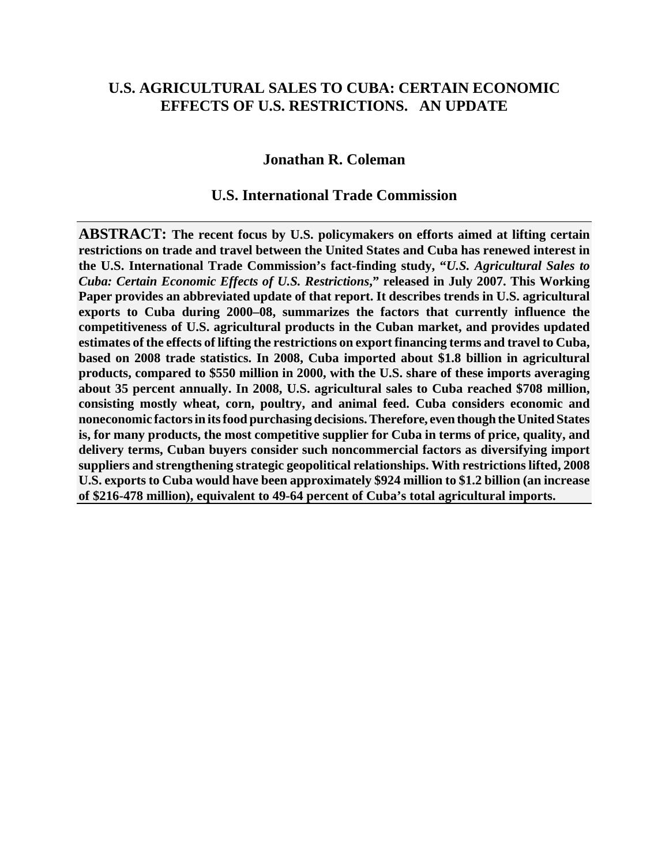### **U.S. AGRICULTURAL SALES TO CUBA: CERTAIN ECONOMIC EFFECTS OF U.S. RESTRICTIONS. AN UPDATE**

#### **Jonathan R. Coleman**

#### **U.S. International Trade Commission**

**ABSTRACT: The recent focus by U.S. policymakers on efforts aimed at lifting certain restrictions on trade and travel between the United States and Cuba has renewed interest in the U.S. International Trade Commission's fact-finding study, "***U.S. Agricultural Sales to Cuba: Certain Economic Effects of U.S. Restrictions***," released in July 2007. This Working Paper provides an abbreviated update of that report. It describes trends in U.S. agricultural exports to Cuba during 2000–08, summarizes the factors that currently influence the competitiveness of U.S. agricultural products in the Cuban market, and provides updated estimates of the effects of lifting the restrictions on export financing terms and travel to Cuba, based on 2008 trade statistics. In 2008, Cuba imported about \$1.8 billion in agricultural products, compared to \$550 million in 2000, with the U.S. share of these imports averaging about 35 percent annually. In 2008, U.S. agricultural sales to Cuba reached \$708 million, consisting mostly wheat, corn, poultry, and animal feed. Cuba considers economic and noneconomic factors in its food purchasing decisions. Therefore, even though the United States is, for many products, the most competitive supplier for Cuba in terms of price, quality, and delivery terms, Cuban buyers consider such noncommercial factors as diversifying import suppliers and strengthening strategic geopolitical relationships. With restrictions lifted, 2008 U.S. exports to Cuba would have been approximately \$924 million to \$1.2 billion (an increase of \$216-478 million), equivalent to 49-64 percent of Cuba's total agricultural imports.**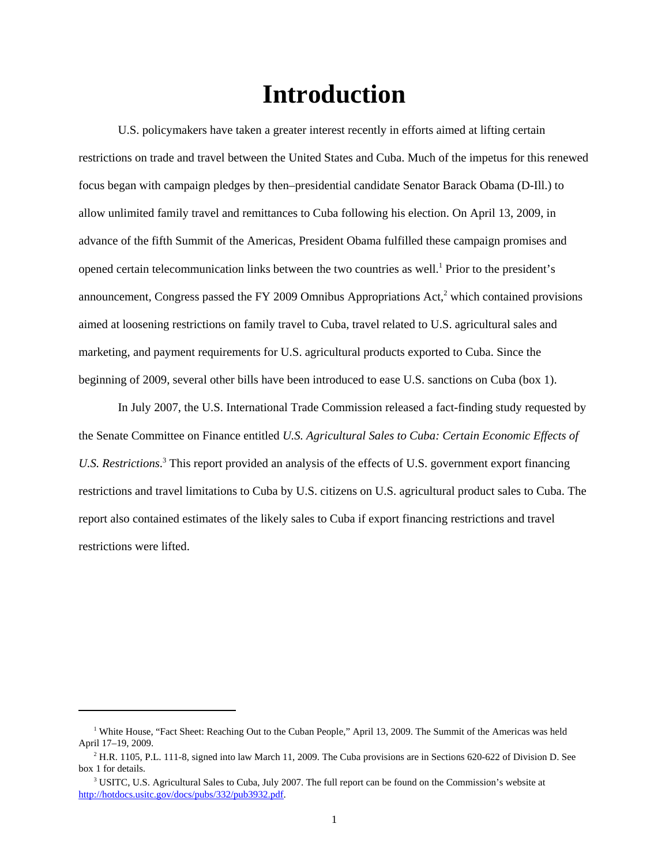# **Introduction**

U.S. policymakers have taken a greater interest recently in efforts aimed at lifting certain restrictions on trade and travel between the United States and Cuba. Much of the impetus for this renewed focus began with campaign pledges by then–presidential candidate Senator Barack Obama (D-Ill.) to allow unlimited family travel and remittances to Cuba following his election. On April 13, 2009, in advance of the fifth Summit of the Americas, President Obama fulfilled these campaign promises and opened certain telecommunication links between the two countries as well.<sup>1</sup> Prior to the president's announcement, Congress passed the FY 2009 Omnibus Appropriations  $Act<sup>2</sup>$  which contained provisions aimed at loosening restrictions on family travel to Cuba, travel related to U.S. agricultural sales and marketing, and payment requirements for U.S. agricultural products exported to Cuba. Since the beginning of 2009, several other bills have been introduced to ease U.S. sanctions on Cuba (box 1).

In July 2007, the U.S. International Trade Commission released a fact-finding study requested by the Senate Committee on Finance entitled *U.S. Agricultural Sales to Cuba: Certain Economic Effects of* U.S. Restrictions.<sup>3</sup> This report provided an analysis of the effects of U.S. government export financing restrictions and travel limitations to Cuba by U.S. citizens on U.S. agricultural product sales to Cuba. The report also contained estimates of the likely sales to Cuba if export financing restrictions and travel restrictions were lifted.

<sup>&</sup>lt;sup>1</sup> White House, "Fact Sheet: Reaching Out to the Cuban People," April 13, 2009. The Summit of the Americas was held April 17–19, 2009.

<sup>&</sup>lt;sup>2</sup> H.R. 1105, P.L. 111-8, signed into law March 11, 2009. The Cuba provisions are in Sections 620-622 of Division D. See box 1 for details.

<sup>&</sup>lt;sup>3</sup> USITC, U.S. Agricultural Sales to Cuba, July 2007. The full report can be found on the Commission's website at [http://hotdocs.usitc.gov/docs/pubs/332/pub3932.pdf.](http://www.usitc.gov/publications/332/pub3932.pdf)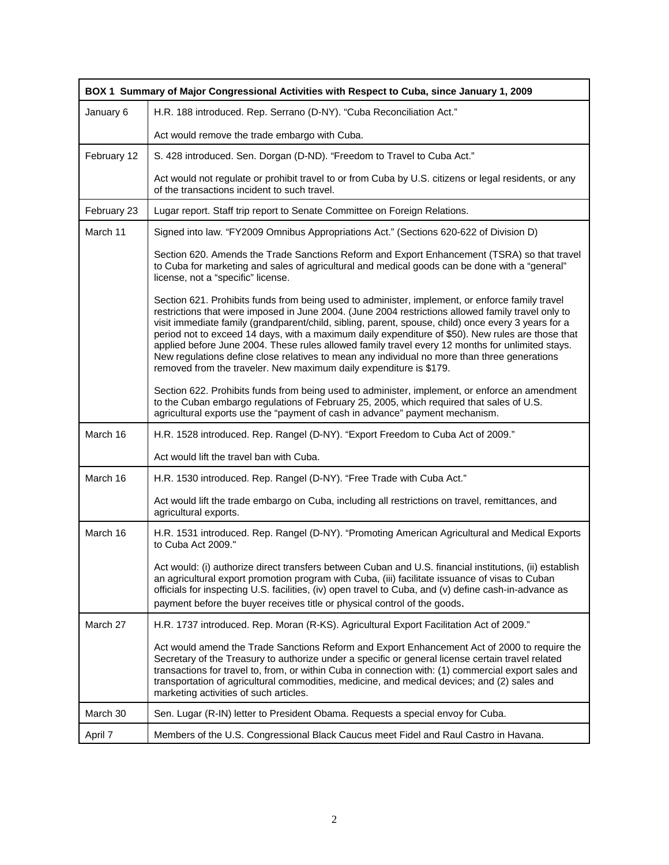|             | BOX 1 Summary of Major Congressional Activities with Respect to Cuba, since January 1, 2009                                                                                                                                                                                                                                                                                                                                                                                                                                                                                                                                                                                                 |
|-------------|---------------------------------------------------------------------------------------------------------------------------------------------------------------------------------------------------------------------------------------------------------------------------------------------------------------------------------------------------------------------------------------------------------------------------------------------------------------------------------------------------------------------------------------------------------------------------------------------------------------------------------------------------------------------------------------------|
| January 6   | H.R. 188 introduced. Rep. Serrano (D-NY). "Cuba Reconciliation Act."                                                                                                                                                                                                                                                                                                                                                                                                                                                                                                                                                                                                                        |
|             | Act would remove the trade embargo with Cuba.                                                                                                                                                                                                                                                                                                                                                                                                                                                                                                                                                                                                                                               |
| February 12 | S. 428 introduced. Sen. Dorgan (D-ND). "Freedom to Travel to Cuba Act."                                                                                                                                                                                                                                                                                                                                                                                                                                                                                                                                                                                                                     |
|             | Act would not regulate or prohibit travel to or from Cuba by U.S. citizens or legal residents, or any<br>of the transactions incident to such travel.                                                                                                                                                                                                                                                                                                                                                                                                                                                                                                                                       |
| February 23 | Lugar report. Staff trip report to Senate Committee on Foreign Relations.                                                                                                                                                                                                                                                                                                                                                                                                                                                                                                                                                                                                                   |
| March 11    | Signed into law. "FY2009 Omnibus Appropriations Act." (Sections 620-622 of Division D)                                                                                                                                                                                                                                                                                                                                                                                                                                                                                                                                                                                                      |
|             | Section 620. Amends the Trade Sanctions Reform and Export Enhancement (TSRA) so that travel<br>to Cuba for marketing and sales of agricultural and medical goods can be done with a "general"<br>license, not a "specific" license.                                                                                                                                                                                                                                                                                                                                                                                                                                                         |
|             | Section 621. Prohibits funds from being used to administer, implement, or enforce family travel<br>restrictions that were imposed in June 2004. (June 2004 restrictions allowed family travel only to<br>visit immediate family (grandparent/child, sibling, parent, spouse, child) once every 3 years for a<br>period not to exceed 14 days, with a maximum daily expenditure of \$50). New rules are those that<br>applied before June 2004. These rules allowed family travel every 12 months for unlimited stays.<br>New regulations define close relatives to mean any individual no more than three generations<br>removed from the traveler. New maximum daily expenditure is \$179. |
|             | Section 622. Prohibits funds from being used to administer, implement, or enforce an amendment<br>to the Cuban embargo regulations of February 25, 2005, which required that sales of U.S.<br>agricultural exports use the "payment of cash in advance" payment mechanism.                                                                                                                                                                                                                                                                                                                                                                                                                  |
| March 16    | H.R. 1528 introduced. Rep. Rangel (D-NY). "Export Freedom to Cuba Act of 2009."                                                                                                                                                                                                                                                                                                                                                                                                                                                                                                                                                                                                             |
|             | Act would lift the travel ban with Cuba.                                                                                                                                                                                                                                                                                                                                                                                                                                                                                                                                                                                                                                                    |
| March 16    | H.R. 1530 introduced. Rep. Rangel (D-NY). "Free Trade with Cuba Act."                                                                                                                                                                                                                                                                                                                                                                                                                                                                                                                                                                                                                       |
|             | Act would lift the trade embargo on Cuba, including all restrictions on travel, remittances, and<br>agricultural exports.                                                                                                                                                                                                                                                                                                                                                                                                                                                                                                                                                                   |
| March 16    | H.R. 1531 introduced. Rep. Rangel (D-NY). "Promoting American Agricultural and Medical Exports<br>to Cuba Act 2009."                                                                                                                                                                                                                                                                                                                                                                                                                                                                                                                                                                        |
|             | Act would: (i) authorize direct transfers between Cuban and U.S. financial institutions, (ii) establish<br>an agricultural export promotion program with Cuba, (iii) facilitate issuance of visas to Cuban<br>officials for inspecting U.S. facilities, (iv) open travel to Cuba, and (v) define cash-in-advance as<br>payment before the buyer receives title or physical control of the goods.                                                                                                                                                                                                                                                                                            |
| March 27    | H.R. 1737 introduced. Rep. Moran (R-KS). Agricultural Export Facilitation Act of 2009."                                                                                                                                                                                                                                                                                                                                                                                                                                                                                                                                                                                                     |
|             | Act would amend the Trade Sanctions Reform and Export Enhancement Act of 2000 to require the<br>Secretary of the Treasury to authorize under a specific or general license certain travel related<br>transactions for travel to, from, or within Cuba in connection with: (1) commercial export sales and<br>transportation of agricultural commodities, medicine, and medical devices; and (2) sales and<br>marketing activities of such articles.                                                                                                                                                                                                                                         |
| March 30    | Sen. Lugar (R-IN) letter to President Obama. Requests a special envoy for Cuba.                                                                                                                                                                                                                                                                                                                                                                                                                                                                                                                                                                                                             |
| April 7     | Members of the U.S. Congressional Black Caucus meet Fidel and Raul Castro in Havana.                                                                                                                                                                                                                                                                                                                                                                                                                                                                                                                                                                                                        |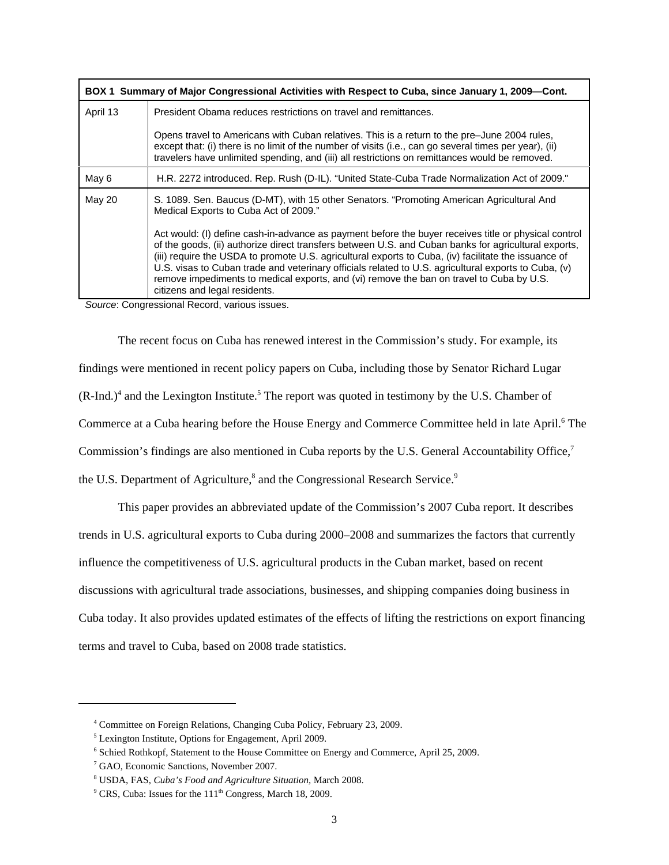|          | BOX 1 Summary of Major Congressional Activities with Respect to Cuba, since January 1, 2009–Cont.                                                                                                                                                                                                                                                                                                                                                                                                                                                         |  |  |  |  |  |  |  |
|----------|-----------------------------------------------------------------------------------------------------------------------------------------------------------------------------------------------------------------------------------------------------------------------------------------------------------------------------------------------------------------------------------------------------------------------------------------------------------------------------------------------------------------------------------------------------------|--|--|--|--|--|--|--|
| April 13 | President Obama reduces restrictions on travel and remittances.                                                                                                                                                                                                                                                                                                                                                                                                                                                                                           |  |  |  |  |  |  |  |
|          | Opens travel to Americans with Cuban relatives. This is a return to the pre-June 2004 rules,<br>except that: (i) there is no limit of the number of visits (i.e., can go several times per year), (ii)<br>travelers have unlimited spending, and (iii) all restrictions on remittances would be removed.                                                                                                                                                                                                                                                  |  |  |  |  |  |  |  |
| May 6    | H.R. 2272 introduced. Rep. Rush (D-IL). "United State-Cuba Trade Normalization Act of 2009."                                                                                                                                                                                                                                                                                                                                                                                                                                                              |  |  |  |  |  |  |  |
| May 20   | S. 1089. Sen. Baucus (D-MT), with 15 other Senators. "Promoting American Agricultural And<br>Medical Exports to Cuba Act of 2009."                                                                                                                                                                                                                                                                                                                                                                                                                        |  |  |  |  |  |  |  |
|          | Act would: (I) define cash-in-advance as payment before the buyer receives title or physical control<br>of the goods, (ii) authorize direct transfers between U.S. and Cuban banks for agricultural exports,<br>(iii) require the USDA to promote U.S. agricultural exports to Cuba, (iv) facilitate the issuance of<br>U.S. visas to Cuban trade and veterinary officials related to U.S. agricultural exports to Cuba, (v)<br>remove impediments to medical exports, and (vi) remove the ban on travel to Cuba by U.S.<br>citizens and legal residents. |  |  |  |  |  |  |  |

*Source*: Congressional Record, various issues.

The recent focus on Cuba has renewed interest in the Commission's study. For example, its findings were mentioned in recent policy papers on Cuba, including those by Senator Richard Lugar  $(R$ -Ind.)<sup>4</sup> and the Lexington Institute.<sup>5</sup> The report was quoted in testimony by the U.S. Chamber of Commerce at a Cuba hearing before the House Energy and Commerce Committee held in late April.<sup>6</sup> The Commission's findings are also mentioned in Cuba reports by the U.S. General Accountability Office,<sup>7</sup> the U.S. Department of Agriculture,<sup>8</sup> and the Congressional Research Service.<sup>9</sup>

This paper provides an abbreviated update of the Commission's 2007 Cuba report. It describes trends in U.S. agricultural exports to Cuba during 2000–2008 and summarizes the factors that currently influence the competitiveness of U.S. agricultural products in the Cuban market, based on recent discussions with agricultural trade associations, businesses, and shipping companies doing business in Cuba today. It also provides updated estimates of the effects of lifting the restrictions on export financing terms and travel to Cuba, based on 2008 trade statistics.

 <sup>4</sup> Committee on Foreign Relations, Changing Cuba Policy, February 23, 2009.

 <sup>5</sup> Lexington Institute, Options for Engagement, April 2009.

 <sup>6</sup> Schied Rothkopf, Statement to the House Committee on Energy and Commerce, April 25, 2009.

 <sup>7</sup> GAO, Economic Sanctions, November 2007.

 <sup>8</sup> USDA, FAS, *Cuba's Food and Agriculture Situation,* March 2008.

<sup>&</sup>lt;sup>9</sup> CRS, Cuba: Issues for the 111<sup>th</sup> Congress, March 18, 2009.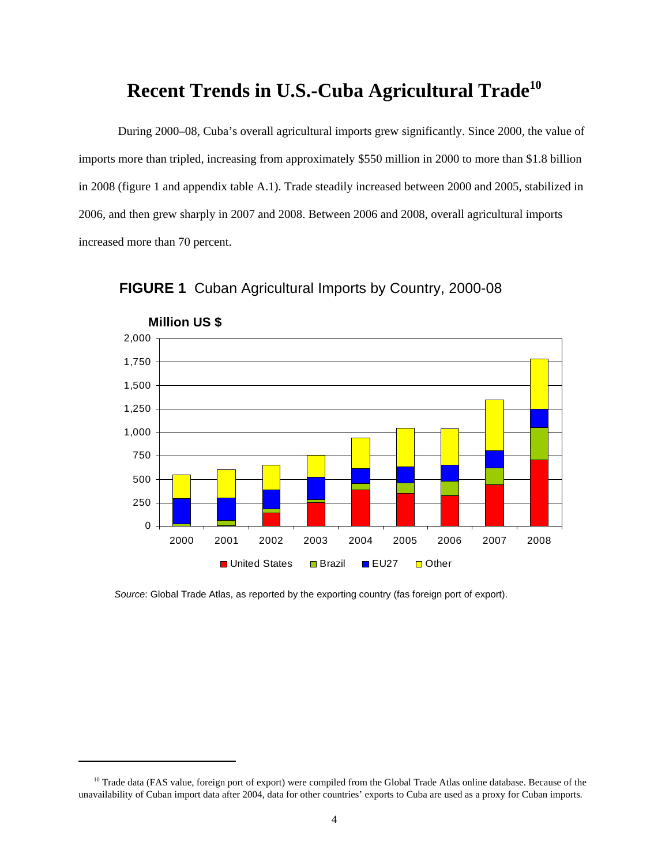## **Recent Trends in U.S.-Cuba Agricultural Trade10**

During 2000–08, Cuba's overall agricultural imports grew significantly. Since 2000, the value of imports more than tripled, increasing from approximately \$550 million in 2000 to more than \$1.8 billion in 2008 (figure 1 and appendix table A.1). Trade steadily increased between 2000 and 2005, stabilized in 2006, and then grew sharply in 2007 and 2008. Between 2006 and 2008, overall agricultural imports increased more than 70 percent.



**FIGURE 1** Cuban Agricultural Imports by Country, 2000-08

*Source*: Global Trade Atlas, as reported by the exporting country (fas foreign port of export).

<sup>&</sup>lt;sup>10</sup> Trade data (FAS value, foreign port of export) were compiled from the Global Trade Atlas online database. Because of the unavailability of Cuban import data after 2004, data for other countries' exports to Cuba are used as a proxy for Cuban imports.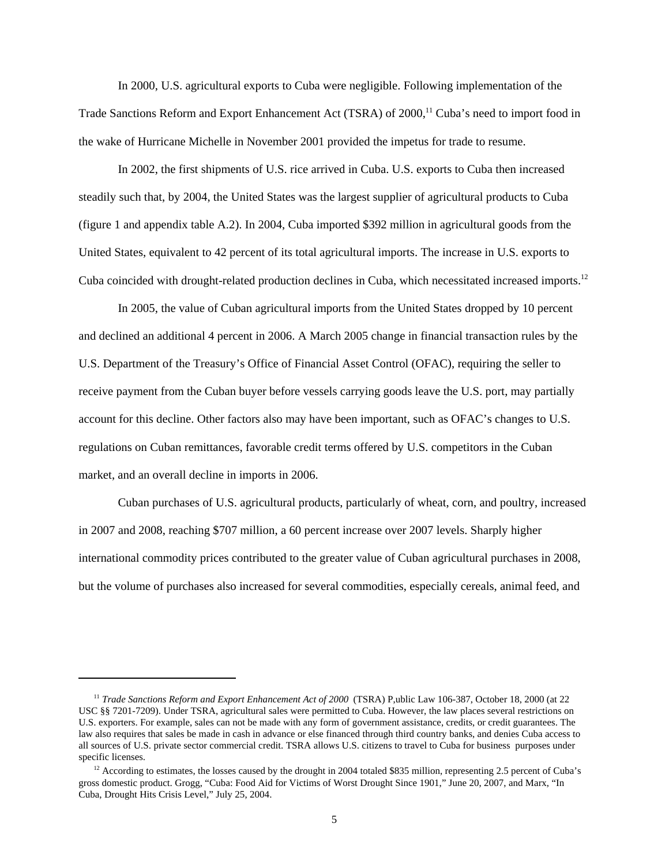In 2000, U.S. agricultural exports to Cuba were negligible. Following implementation of the Trade Sanctions Reform and Export Enhancement Act (TSRA) of 2000,<sup>11</sup> Cuba's need to import food in the wake of Hurricane Michelle in November 2001 provided the impetus for trade to resume.

In 2002, the first shipments of U.S. rice arrived in Cuba. U.S. exports to Cuba then increased steadily such that, by 2004, the United States was the largest supplier of agricultural products to Cuba (figure 1 and appendix table A.2). In 2004, Cuba imported \$392 million in agricultural goods from the United States, equivalent to 42 percent of its total agricultural imports. The increase in U.S. exports to Cuba coincided with drought-related production declines in Cuba, which necessitated increased imports.12

In 2005, the value of Cuban agricultural imports from the United States dropped by 10 percent and declined an additional 4 percent in 2006. A March 2005 change in financial transaction rules by the U.S. Department of the Treasury's Office of Financial Asset Control (OFAC), requiring the seller to receive payment from the Cuban buyer before vessels carrying goods leave the U.S. port, may partially account for this decline. Other factors also may have been important, such as OFAC's changes to U.S. regulations on Cuban remittances, favorable credit terms offered by U.S. competitors in the Cuban market, and an overall decline in imports in 2006.

Cuban purchases of U.S. agricultural products, particularly of wheat, corn, and poultry, increased in 2007 and 2008, reaching \$707 million, a 60 percent increase over 2007 levels. Sharply higher international commodity prices contributed to the greater value of Cuban agricultural purchases in 2008, but the volume of purchases also increased for several commodities, especially cereals, animal feed, and

<sup>&</sup>lt;sup>11</sup> *Trade Sanctions Reform and Export Enhancement Act of 2000* (TSRA) P,ublic Law 106-387, October 18, 2000 (at 22 USC §§ 7201-7209). Under TSRA, agricultural sales were permitted to Cuba. However, the law places several restrictions on U.S. exporters. For example, sales can not be made with any form of government assistance, credits, or credit guarantees. The law also requires that sales be made in cash in advance or else financed through third country banks, and denies Cuba access to all sources of U.S. private sector commercial credit. TSRA allows U.S. citizens to travel to Cuba for business purposes under specific licenses.

 $12$  According to estimates, the losses caused by the drought in 2004 totaled \$835 million, representing 2.5 percent of Cuba's gross domestic product. Grogg, "Cuba: Food Aid for Victims of Worst Drought Since 1901," June 20, 2007, and Marx, "In Cuba, Drought Hits Crisis Level," July 25, 2004.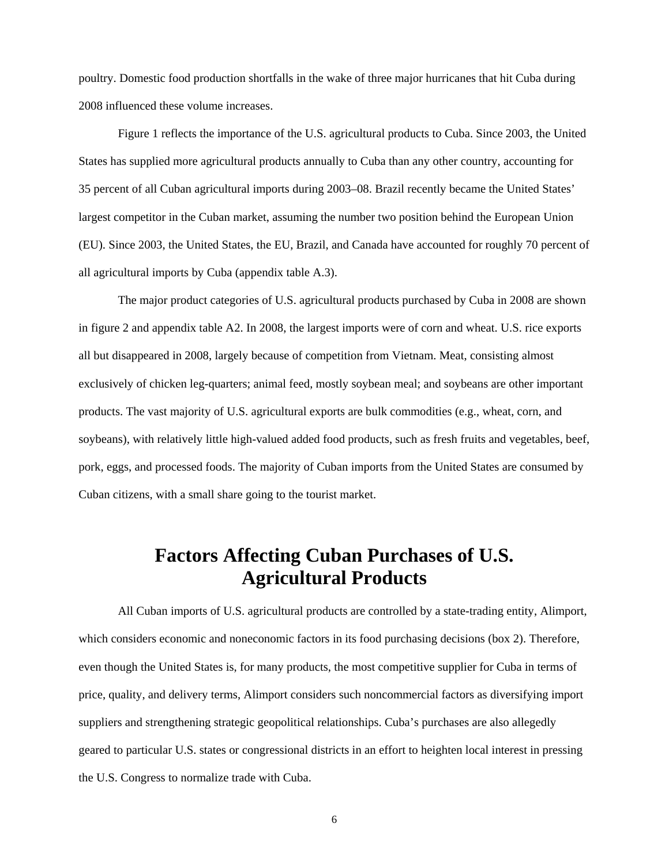poultry. Domestic food production shortfalls in the wake of three major hurricanes that hit Cuba during 2008 influenced these volume increases.

Figure 1 reflects the importance of the U.S. agricultural products to Cuba. Since 2003, the United States has supplied more agricultural products annually to Cuba than any other country, accounting for 35 percent of all Cuban agricultural imports during 2003–08. Brazil recently became the United States' largest competitor in the Cuban market, assuming the number two position behind the European Union (EU). Since 2003, the United States, the EU, Brazil, and Canada have accounted for roughly 70 percent of all agricultural imports by Cuba (appendix table A.3).

The major product categories of U.S. agricultural products purchased by Cuba in 2008 are shown in figure 2 and appendix table A2. In 2008, the largest imports were of corn and wheat. U.S. rice exports all but disappeared in 2008, largely because of competition from Vietnam. Meat, consisting almost exclusively of chicken leg-quarters; animal feed, mostly soybean meal; and soybeans are other important products. The vast majority of U.S. agricultural exports are bulk commodities (e.g., wheat, corn, and soybeans), with relatively little high-valued added food products, such as fresh fruits and vegetables, beef, pork, eggs, and processed foods. The majority of Cuban imports from the United States are consumed by Cuban citizens, with a small share going to the tourist market.

# **Factors Affecting Cuban Purchases of U.S. Agricultural Products**

All Cuban imports of U.S. agricultural products are controlled by a state-trading entity, Alimport, which considers economic and noneconomic factors in its food purchasing decisions (box 2). Therefore, even though the United States is, for many products, the most competitive supplier for Cuba in terms of price, quality, and delivery terms, Alimport considers such noncommercial factors as diversifying import suppliers and strengthening strategic geopolitical relationships. Cuba's purchases are also allegedly geared to particular U.S. states or congressional districts in an effort to heighten local interest in pressing the U.S. Congress to normalize trade with Cuba.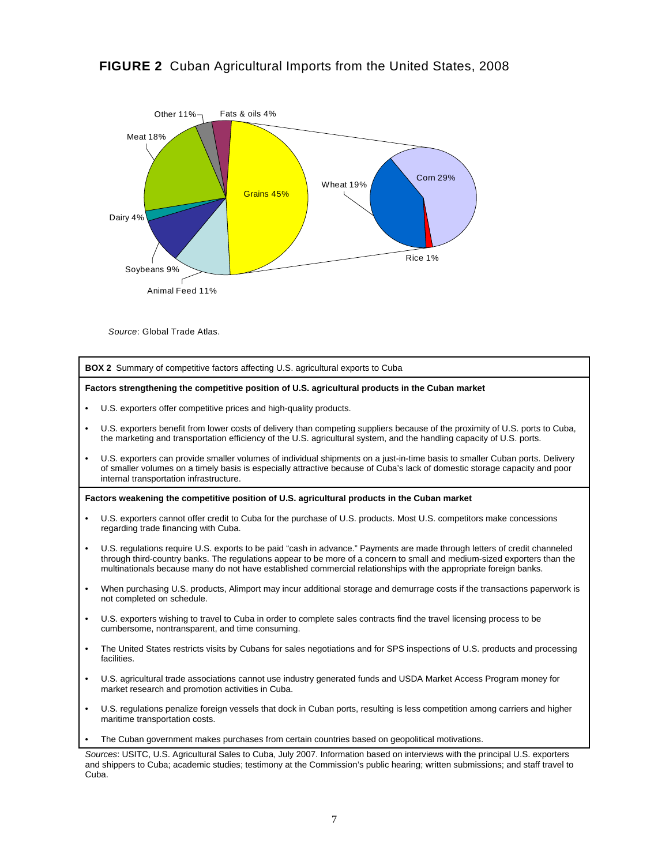



*Source*: Global Trade Atlas.

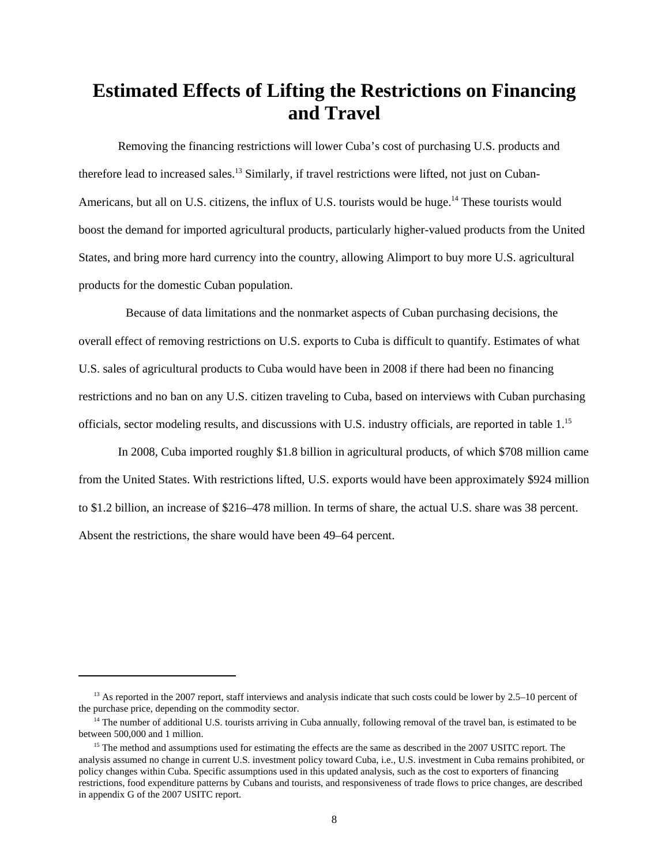# **Estimated Effects of Lifting the Restrictions on Financing and Travel**

Removing the financing restrictions will lower Cuba's cost of purchasing U.S. products and therefore lead to increased sales.<sup>13</sup> Similarly, if travel restrictions were lifted, not just on Cuban-Americans, but all on U.S. citizens, the influx of U.S. tourists would be huge.<sup>14</sup> These tourists would boost the demand for imported agricultural products, particularly higher-valued products from the United States, and bring more hard currency into the country, allowing Alimport to buy more U.S. agricultural products for the domestic Cuban population.

Because of data limitations and the nonmarket aspects of Cuban purchasing decisions, the overall effect of removing restrictions on U.S. exports to Cuba is difficult to quantify. Estimates of what U.S. sales of agricultural products to Cuba would have been in 2008 if there had been no financing restrictions and no ban on any U.S. citizen traveling to Cuba, based on interviews with Cuban purchasing officials, sector modeling results, and discussions with U.S. industry officials, are reported in table 1.15

In 2008, Cuba imported roughly \$1.8 billion in agricultural products, of which \$708 million came from the United States. With restrictions lifted, U.S. exports would have been approximately \$924 million to \$1.2 billion, an increase of \$216–478 million. In terms of share, the actual U.S. share was 38 percent. Absent the restrictions, the share would have been 49–64 percent.

<sup>&</sup>lt;sup>13</sup> As reported in the 2007 report, staff interviews and analysis indicate that such costs could be lower by 2.5–10 percent of the purchase price, depending on the commodity sector.

<sup>&</sup>lt;sup>14</sup> The number of additional U.S. tourists arriving in Cuba annually, following removal of the travel ban, is estimated to be between 500,000 and 1 million.

<sup>&</sup>lt;sup>15</sup> The method and assumptions used for estimating the effects are the same as described in the 2007 USITC report. The analysis assumed no change in current U.S. investment policy toward Cuba, i.e., U.S. investment in Cuba remains prohibited, or policy changes within Cuba. Specific assumptions used in this updated analysis, such as the cost to exporters of financing restrictions, food expenditure patterns by Cubans and tourists, and responsiveness of trade flows to price changes, are described in appendix G of the 2007 USITC report.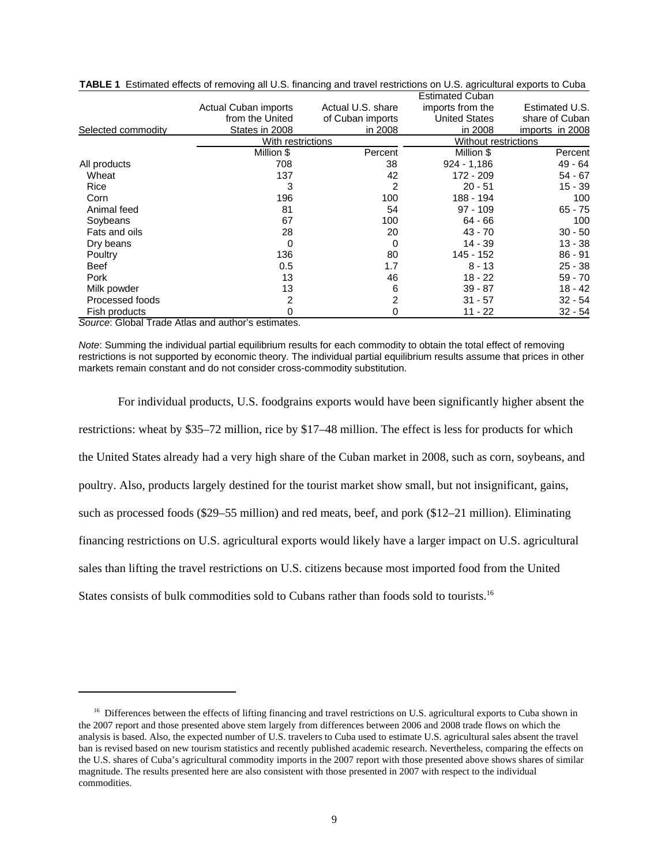|                    |                      |                   | <b>Estimated Cuban</b> |                 |
|--------------------|----------------------|-------------------|------------------------|-----------------|
|                    | Actual Cuban imports | Actual U.S. share | imports from the       | Estimated U.S.  |
|                    | from the United      | of Cuban imports  | <b>United States</b>   | share of Cuban  |
| Selected commodity | States in 2008       | in 2008           | in 2008                | imports in 2008 |
|                    | With restrictions    |                   | Without restrictions   |                 |
|                    | Million \$           | Percent           | Million \$             | Percent         |
| All products       | 708                  | 38                | 924 - 1,186            | 49 - 64         |
| Wheat              | 137                  | 42                | 172 - 209              | $54 - 67$       |
| Rice               | 3                    | $\overline{2}$    | $20 - 51$              | 15 - 39         |
| Corn               | 196                  | 100               | 188 - 194              | 100             |
| Animal feed        | 81                   | 54                | $97 - 109$             | $65 - 75$       |
| Soybeans           | 67                   | 100               | 64 - 66                | 100             |
| Fats and oils      | 28                   | 20                | $43 - 70$              | $30 - 50$       |
| Dry beans          | 0                    | 0                 | $14 - 39$              | $13 - 38$       |
| Poultry            | 136                  | 80                | 145 - 152              | $86 - 91$       |
| Beef               | 0.5                  | 1.7               | $8 - 13$               | $25 - 38$       |
| Pork               | 13                   | 46                | $18 - 22$              | $59 - 70$       |
| Milk powder        | 13                   | 6                 | $39 - 87$              | $18 - 42$       |
| Processed foods    | 2                    | 2                 | $31 - 57$              | $32 - 54$       |
| Fish products      | 0                    | 0                 | 11 - 22                | $32 - 54$       |

**TABLE 1** Estimated effects of removing all U.S. financing and travel restrictions on U.S. agricultural exports to Cuba

*Source*: Global Trade Atlas and author's estimates.

*Note*: Summing the individual partial equilibrium results for each commodity to obtain the total effect of removing restrictions is not supported by economic theory. The individual partial equilibrium results assume that prices in other markets remain constant and do not consider cross-commodity substitution.

For individual products, U.S. foodgrains exports would have been significantly higher absent the restrictions: wheat by \$35–72 million, rice by \$17–48 million. The effect is less for products for which the United States already had a very high share of the Cuban market in 2008, such as corn, soybeans, and poultry. Also, products largely destined for the tourist market show small, but not insignificant, gains, such as processed foods (\$29–55 million) and red meats, beef, and pork (\$12–21 million). Eliminating financing restrictions on U.S. agricultural exports would likely have a larger impact on U.S. agricultural sales than lifting the travel restrictions on U.S. citizens because most imported food from the United States consists of bulk commodities sold to Cubans rather than foods sold to tourists.<sup>16</sup>

<sup>&</sup>lt;sup>16</sup> Differences between the effects of lifting financing and travel restrictions on U.S. agricultural exports to Cuba shown in the 2007 report and those presented above stem largely from differences between 2006 and 2008 trade flows on which the analysis is based. Also, the expected number of U.S. travelers to Cuba used to estimate U.S. agricultural sales absent the travel ban is revised based on new tourism statistics and recently published academic research. Nevertheless, comparing the effects on the U.S. shares of Cuba's agricultural commodity imports in the 2007 report with those presented above shows shares of similar magnitude. The results presented here are also consistent with those presented in 2007 with respect to the individual commodities.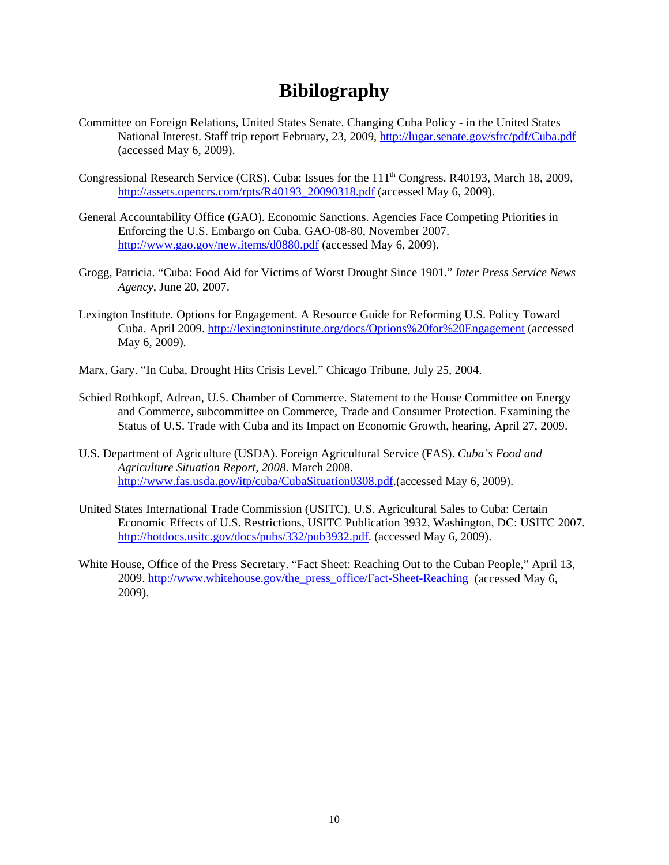# **Bibilography**

- Committee on Foreign Relations, United States Senate. Changing Cuba Policy in the United States National Interest. Staff trip report February, 23, 2009, http://lugar.senate.gov/sfrc/pdf/Cuba.pdf (accessed May 6, 2009).
- Congressional Research Service (CRS). Cuba: Issues for the 111<sup>th</sup> Congress. R40193, March 18, 2009, http://assets.opencrs.com/rpts/R40193\_20090318.pdf (accessed May 6, 2009).
- General Accountability Office (GAO). Economic Sanctions. Agencies Face Competing Priorities in Enforcing the U.S. Embargo on Cuba. GAO-08-80, November 2007. http://www.gao.gov/new.items/d0880.pdf (accessed May 6, 2009).
- Grogg, Patricia. "Cuba: Food Aid for Victims of Worst Drought Since 1901." *Inter Press Service News Agency*, June 20, 2007.
- Lexington Institute. Options for Engagement. A Resource Guide for Reforming U.S. Policy Toward Cuba. April 2009. http://lexingtoninstitute.org/docs/Options%20for%20Engagement (accessed May 6, 2009).
- Marx, Gary. "In Cuba, Drought Hits Crisis Level." Chicago Tribune, July 25, 2004.
- Schied Rothkopf, Adrean, U.S. Chamber of Commerce. Statement to the House Committee on Energy and Commerce, subcommittee on Commerce, Trade and Consumer Protection. Examining the Status of U.S. Trade with Cuba and its Impact on Economic Growth, hearing, April 27, 2009.
- U.S. Department of Agriculture (USDA). Foreign Agricultural Service (FAS). *Cuba's Food and Agriculture Situation Report, 2008*. March 2008. http://www.fas.usda.gov/itp/cuba/CubaSituation0308.pdf.(accessed May 6, 2009).
- United States International Trade Commission (USITC), U.S. Agricultural Sales to Cuba: Certain Economic Effects of U.S. Restrictions, USITC Publication 3932, Washington, DC: USITC 2007. http://hotdocs.usitc.gov/docs/pubs/332/pub3932.pdf. (accessed May 6, 2009).
- White House, Office of the Press Secretary. "Fact Sheet: Reaching Out to the Cuban People," April 13, 2009. http://www.whitehouse.gov/the\_press\_office/Fact-Sheet-Reaching (accessed May 6, 2009).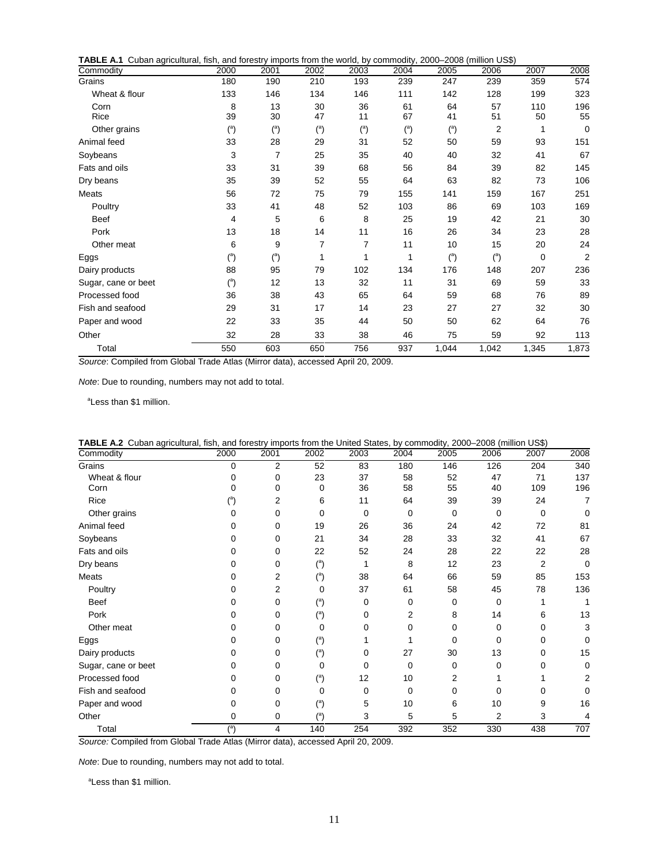|  |  |  |  | TABLE A.1 Cuban agricultural, fish, and forestry imports from the world, by commodity, 2000-2008 (million US\$) |  |  |
|--|--|--|--|-----------------------------------------------------------------------------------------------------------------|--|--|
|--|--|--|--|-----------------------------------------------------------------------------------------------------------------|--|--|

| Commodity           | 2000           | 2001           | 2002       | 2003           | <br>2004       | 2005           | 2006           | 2007        | 2008           |
|---------------------|----------------|----------------|------------|----------------|----------------|----------------|----------------|-------------|----------------|
| Grains              | 180            | 190            | 210        | 193            | 239            | 247            | 239            | 359         | 574            |
| Wheat & flour       | 133            | 146            | 134        | 146            | 111            | 142            | 128            | 199         | 323            |
| Corn                | 8              | 13             | 30         | 36             | 61             | 64             | 57             | 110         | 196            |
| Rice                | 39             | 30             | 47         | 11             | 67             | 41             | 51             | 50          | 55             |
| Other grains        | $\binom{a}{b}$ | $^{\text{a}}$  | $^{\circ}$ | $\binom{a}{b}$ | $\binom{a}{b}$ | $\binom{a}{b}$ | 2              | 1           | $\mathbf 0$    |
| Animal feed         | 33             | 28             | 29         | 31             | 52             | 50             | 59             | 93          | 151            |
| Soybeans            | 3              | 7              | 25         | 35             | 40             | 40             | 32             | 41          | 67             |
| Fats and oils       | 33             | 31             | 39         | 68             | 56             | 84             | 39             | 82          | 145            |
| Dry beans           | 35             | 39             | 52         | 55             | 64             | 63             | 82             | 73          | 106            |
| Meats               | 56             | 72             | 75         | 79             | 155            | 141            | 159            | 167         | 251            |
| Poultry             | 33             | 41             | 48         | 52             | 103            | 86             | 69             | 103         | 169            |
| <b>Beef</b>         | 4              | 5              | 6          | 8              | 25             | 19             | 42             | 21          | 30             |
| Pork                | 13             | 18             | 14         | 11             | 16             | 26             | 34             | 23          | 28             |
| Other meat          | 6              | 9              | 7          | 7              | 11             | 10             | 15             | 20          | 24             |
| Eggs                | $\binom{a}{b}$ | $\binom{a}{b}$ | 1          |                | 1              | $\binom{a}{b}$ | $\binom{a}{b}$ | $\mathbf 0$ | $\overline{c}$ |
| Dairy products      | 88             | 95             | 79         | 102            | 134            | 176            | 148            | 207         | 236            |
| Sugar, cane or beet | $\binom{a}{b}$ | 12             | 13         | 32             | 11             | 31             | 69             | 59          | 33             |
| Processed food      | 36             | 38             | 43         | 65             | 64             | 59             | 68             | 76          | 89             |
| Fish and seafood    | 29             | 31             | 17         | 14             | 23             | 27             | 27             | 32          | 30             |
| Paper and wood      | 22             | 33             | 35         | 44             | 50             | 50             | 62             | 64          | 76             |
| Other               | 32             | 28             | 33         | 38             | 46             | 75             | 59             | 92          | 113            |
| Total               | 550            | 603            | 650        | 756            | 937            | 1,044          | 1,042          | 1,345       | 1,873          |

*Source*: Compiled from Global Trade Atlas (Mirror data), accessed April 20, 2009.

*Note*: Due to rounding, numbers may not add to total.

<sup>a</sup>Less than \$1 million.

| Commodity           | 2000            | 2001     | 2002           | 2003 | 2004     | 2005     | 2006 | 2007           | 2008 |
|---------------------|-----------------|----------|----------------|------|----------|----------|------|----------------|------|
| Grains              | 0               | 2        | 52             | 83   | 180      | 146      | 126  | 204            | 340  |
| Wheat & flour       |                 | 0        | 23             | 37   | 58       | 52       | 47   | 71             | 137  |
| Corn                |                 | $\Omega$ | $\Omega$       | 36   | 58       | 55       | 40   | 109            | 196  |
| Rice                |                 | 2        | 6              | 11   | 64       | 39       | 39   | 24             | 7    |
| Other grains        | 0               | $\Omega$ | 0              | 0    | $\Omega$ | 0        | 0    | $\Omega$       | Ω    |
| Animal feed         |                 | $\Omega$ | 19             | 26   | 36       | 24       | 42   | 72             | 81   |
| Soybeans            |                 | $\Omega$ | 21             | 34   | 28       | 33       | 32   | 41             | 67   |
| Fats and oils       |                 | $\Omega$ | 22             | 52   | 24       | 28       | 22   | 22             | 28   |
| Dry beans           |                 | 0        | $\binom{a}{b}$ | 1    | 8        | 12       | 23   | $\overline{2}$ | 0    |
| Meats               |                 | 2        | $^{\circ}$     | 38   | 64       | 66       | 59   | 85             | 153  |
| Poultry             |                 | 2        | 0              | 37   | 61       | 58       | 45   | 78             | 136  |
| <b>Beef</b>         |                 | $\Omega$ | $\binom{a}{b}$ | 0    | 0        | 0        | 0    |                |      |
| Pork                |                 | 0        | $\binom{a}{b}$ | 0    | 2        | 8        | 14   | 6              | 13   |
| Other meat          |                 | $\Omega$ | $\Omega$       | 0    | $\Omega$ | O        | 0    | 0              | 3    |
| Eggs                |                 | 0        | $^{\text{a}}$  |      |          | 0        | 0    | 0              | 0    |
| Dairy products      |                 | 0        | $\binom{a}{b}$ | 0    | 27       | 30       | 13   | 0              | 15   |
| Sugar, cane or beet |                 | $\Omega$ | $\Omega$       | 0    | $\Omega$ | $\Omega$ | 0    | 0              | 0    |
| Processed food      |                 | 0        | $\binom{a}{b}$ | 12   | 10       | 2        |      |                | 2    |
| Fish and seafood    |                 | 0        | 0              | 0    | 0        | 0        | 0    | 0              |      |
| Paper and wood      | O               | $\Omega$ | $\binom{a}{b}$ | 5    | 10       | 6        | 10   | 9              | 16   |
| Other               | 0               | 0        | $^{\text{a}}$  | 3    | 5        | 5        | 2    | 3              | 4    |
| Total               | $(^\mathrm{a})$ | 4        | 140            | 254  | 392      | 352      | 330  | 438            | 707  |

| TABLE A.2 Cuban agricultural, fish, and forestry imports from the United States, by commodity, 2000-2008 (million US\$) |  |
|-------------------------------------------------------------------------------------------------------------------------|--|
|                                                                                                                         |  |

*Source:* Compiled from Global Trade Atlas (Mirror data), accessed April 20, 2009.

*Note*: Due to rounding, numbers may not add to total.

<sup>a</sup>Less than \$1 million.